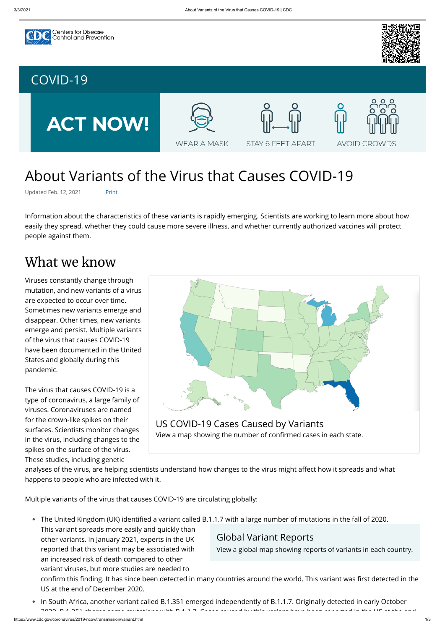



# About Variants of the Virus that Causes COVID-19

Updated Feb. 12, 2021 Print

Information about the characteristics of these variants is rapidly emerging. Scientists are working to learn more about how easily they spread, whether they could cause more severe illness, and whether currently authorized vaccines will protect people against them.

### What we know

Viruses constantly change through mutation, and new variants of a virus are expected to occur over time. Sometimes new variants emerge and disappear. Other times, new variants emerge and persist. Multiple variants of the virus that causes COVID-19 have been documented in the United States and globally during this pandemic.

- The United Kingdom (UK) identified a variant called B.1.1.7 with a large number of mutations in the fall of 2020.
	- This variant spreads more easily and quickly than other variants. In January 2021, experts in the UK reported that this variant may be associated with an increased risk of death compared to other variant viruses, but more studies are needed to US at the end of December 2020.

The virus that causes COVID-19 is a type of coronavirus, a large family of viruses. Coronaviruses are named for the crown-like spikes on their surfaces. Scientists monitor changes in the virus, including changes to the spikes on the surface of the virus. These studies, including genetic

happens to people who are infected with it.

Multiple variants of the virus that causes COVID-19 are circulating globally:

In South Africa, another variant called B.1.351 emerged independently of B.1.1.7. Originally detected in early October 2020 B 1 351 shares some mutations with B 1 1 7 Cases caused by this variant have been reported in the US at the end **●**



analyses of the virus, are helping scientists understand how changes to the virus might affect how it spreads and what

#### Global Variant Reports

[View a global map showing reports of variants in each country.](https://www.cdc.gov/coronavirus/2019-ncov/cases-updates/variant-surveillance/global-variant-map.html)

confirm this finding. It has since been detected in many countries around the world. This variant was first detected in the

### [COVID-19](https://www.cdc.gov/coronavirus/2019-nCoV/index.html)

**ACT NOW!** 



**WEAR A MASK** 



STAY 6 FEET APART



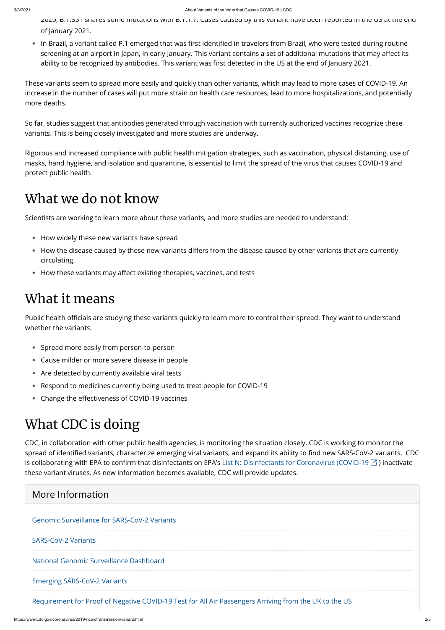2020, B.1.351 shares some mutations with B.1.1.7. Cases caused by this variant have been reported in the US at the end of January 2021.

• In Brazil, a variant called P.1 emerged that was first identified in travelers from Brazil, who were tested during routine screening at an airport in Japan, in early January. This variant contains a set of additional mutations that may affect its ability to be recognized by antibodies. This variant was first detected in the US at the end of January 2021.

- How widely these new variants have spread **●**
- How the disease caused by these new variants differs from the disease caused by other variants that are currently circulating
- How these variants may affect existing therapies, vaccines, and tests

These variants seem to spread more easily and quickly than other variants, which may lead to more cases of COVID-19. An increase in the number of cases will put more strain on health care resources, lead to more hospitalizations, and potentially more deaths.

Public health officials are studying these variants quickly to learn more to control their spread. They want to understand whether the variants:

- Spread more easily from person-to-person **●**
- Cause milder or more severe disease in people
- Are detected by currently available viral tests **●**
- Respond to medicines currently being used to treat people for COVID-19 **●**
- Change the effectiveness of COVID-19 vaccines

So far, studies suggest that antibodies generated through vaccination with currently authorized vaccines recognize these variants. This is being closely investigated and more studies are underway.

Rigorous and increased compliance with public health mitigation strategies, such as vaccination, physical distancing, use of masks, hand hygiene, and isolation and quarantine, is essential to limit the spread of the virus that causes COVID-19 and protect public health.

## What we do not know

Scientists are working to learn more about these variants, and more studies are needed to understand:

## What it means

# What CDC is doing

CDC, in collaboration with other public health agencies, is monitoring the situation closely. CDC is working to monitor the spread of identified variants, characterize emerging viral variants, and expand its ability to find new SARS-CoV-2 variants. CDC is collaborating with EPA to confirm that disinfectants on EPA's [List N: Disinfectants for Coronavirus \(COVID-19](https://www.epa.gov/pesticide-registration/list-n-disinfectants-coronavirus-covid-19)  $\boxtimes$  ) inactivate these variant viruses. As new information becomes available, CDC will provide updates.

#### More Information

#### [Genomic Surveillance for SARS-CoV-2 Variants](https://www.cdc.gov/coronavirus/2019-ncov/cases-updates/variant-surveillance.html)

#### [SARS-CoV-2 Variants](https://www.cdc.gov/coronavirus/2019-ncov/cases-updates/variant-surveillance/variant-info.html)

[National Genomic Surveillance Dashboard](https://www.cdc.gov/coronavirus/2019-ncov/cases-updates/variant-surveillance/genomic-surveillance-dashboard.html)

[Emerging SARS-CoV-2 Variants](https://www.cdc.gov/coronavirus/2019-ncov/more/science-and-research/scientific-brief-emerging-variants.html)

[Requirement for Proof of Negative COVID-19 Test for All Air Passengers Arriving from the UK to the US](https://www.cdc.gov/coronavirus/2019-ncov/travelers/testing-UK-air-travelers.html)